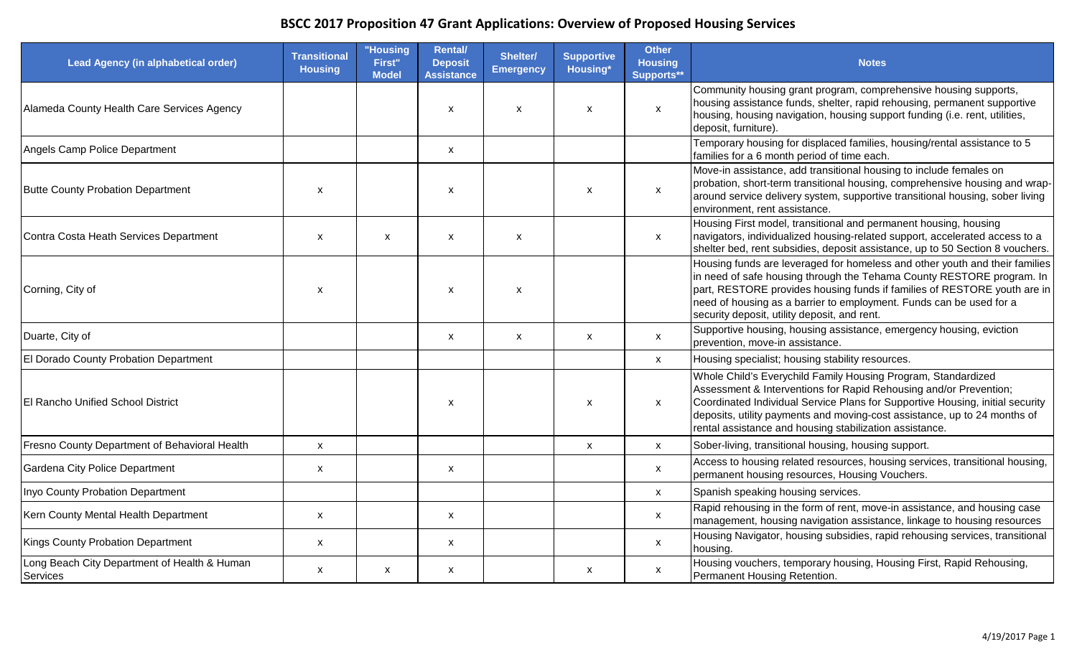| Lead Agency (in alphabetical order)                      | <b>Transitional</b><br><b>Housing</b> | "Housing<br>First"<br><b>Model</b> | <b>Rental/</b><br><b>Deposit</b><br><b>Assistance</b> | Shelter/<br><b>Emergency</b> | <b>Supportive</b><br><b>Housing*</b> | <b>Other</b><br><b>Housing</b><br>Supports** | <b>Notes</b>                                                                                                                                                                                                                                                                                                                                                |
|----------------------------------------------------------|---------------------------------------|------------------------------------|-------------------------------------------------------|------------------------------|--------------------------------------|----------------------------------------------|-------------------------------------------------------------------------------------------------------------------------------------------------------------------------------------------------------------------------------------------------------------------------------------------------------------------------------------------------------------|
| Alameda County Health Care Services Agency               |                                       |                                    | $\pmb{\mathsf{x}}$                                    | X                            | $\mathsf{x}$                         | $\pmb{\mathsf{X}}$                           | Community housing grant program, comprehensive housing supports,<br>housing assistance funds, shelter, rapid rehousing, permanent supportive<br>housing, housing navigation, housing support funding (i.e. rent, utilities,<br>deposit, furniture).                                                                                                         |
| Angels Camp Police Department                            |                                       |                                    | $\boldsymbol{\mathsf{x}}$                             |                              |                                      |                                              | Temporary housing for displaced families, housing/rental assistance to 5<br>families for a 6 month period of time each.                                                                                                                                                                                                                                     |
| Butte County Probation Department                        | $\boldsymbol{\mathsf{x}}$             |                                    | X                                                     |                              | $\boldsymbol{\mathsf{x}}$            | $\boldsymbol{\mathsf{x}}$                    | Move-in assistance, add transitional housing to include females on<br>probation, short-term transitional housing, comprehensive housing and wrap-<br>around service delivery system, supportive transitional housing, sober living<br>environment, rent assistance.                                                                                         |
| Contra Costa Heath Services Department                   | $\boldsymbol{\mathsf{x}}$             | X                                  | $\pmb{\mathsf{x}}$                                    | X                            |                                      | $\mathsf{x}$                                 | Housing First model, transitional and permanent housing, housing<br>navigators, individualized housing-related support, accelerated access to a<br>shelter bed, rent subsidies, deposit assistance, up to 50 Section 8 vouchers.                                                                                                                            |
| Corning, City of                                         | $\boldsymbol{\mathsf{x}}$             |                                    | X                                                     | X                            |                                      |                                              | Housing funds are leveraged for homeless and other youth and their families<br>in need of safe housing through the Tehama County RESTORE program. In<br>part, RESTORE provides housing funds if families of RESTORE youth are in<br>need of housing as a barrier to employment. Funds can be used for a<br>security deposit, utility deposit, and rent.     |
| Duarte, City of                                          |                                       |                                    | $\boldsymbol{\mathsf{x}}$                             | $\pmb{\mathsf{X}}$           | $\mathsf{x}$                         | $\boldsymbol{\mathsf{x}}$                    | Supportive housing, housing assistance, emergency housing, eviction<br>prevention, move-in assistance.                                                                                                                                                                                                                                                      |
| El Dorado County Probation Department                    |                                       |                                    |                                                       |                              |                                      | $\mathsf{x}$                                 | Housing specialist; housing stability resources.                                                                                                                                                                                                                                                                                                            |
| <b>El Rancho Unified School District</b>                 |                                       |                                    | $\boldsymbol{\mathsf{x}}$                             |                              | $\boldsymbol{\mathsf{x}}$            | $\mathsf{x}$                                 | Whole Child's Everychild Family Housing Program, Standardized<br>Assessment & Interventions for Rapid Rehousing and/or Prevention;<br>Coordinated Individual Service Plans for Supportive Housing, initial security<br>deposits, utility payments and moving-cost assistance, up to 24 months of<br>rental assistance and housing stabilization assistance. |
| Fresno County Department of Behavioral Health            | $\pmb{\mathsf{x}}$                    |                                    |                                                       |                              | $\pmb{\chi}$                         | $\mathsf X$                                  | Sober-living, transitional housing, housing support.                                                                                                                                                                                                                                                                                                        |
| Gardena City Police Department                           | $\boldsymbol{\mathsf{x}}$             |                                    | $\boldsymbol{\mathsf{x}}$                             |                              |                                      | $\mathsf{x}$                                 | Access to housing related resources, housing services, transitional housing,<br>permanent housing resources, Housing Vouchers.                                                                                                                                                                                                                              |
| Inyo County Probation Department                         |                                       |                                    |                                                       |                              |                                      | $\mathsf{x}$                                 | Spanish speaking housing services.                                                                                                                                                                                                                                                                                                                          |
| Kern County Mental Health Department                     | $\boldsymbol{\mathsf{x}}$             |                                    | $\boldsymbol{\mathsf{X}}$                             |                              |                                      | $\boldsymbol{\mathsf{x}}$                    | Rapid rehousing in the form of rent, move-in assistance, and housing case<br>management, housing navigation assistance, linkage to housing resources                                                                                                                                                                                                        |
| Kings County Probation Department                        | $\boldsymbol{\mathsf{x}}$             |                                    | $\boldsymbol{\mathsf{x}}$                             |                              |                                      | $\mathsf{x}$                                 | Housing Navigator, housing subsidies, rapid rehousing services, transitional<br>housing.                                                                                                                                                                                                                                                                    |
| Long Beach City Department of Health & Human<br>Services | $\boldsymbol{\mathsf{x}}$             | X                                  | $\mathsf{x}$                                          |                              | $\mathsf{x}$                         | $\mathsf{x}$                                 | Housing vouchers, temporary housing, Housing First, Rapid Rehousing,<br>Permanent Housing Retention.                                                                                                                                                                                                                                                        |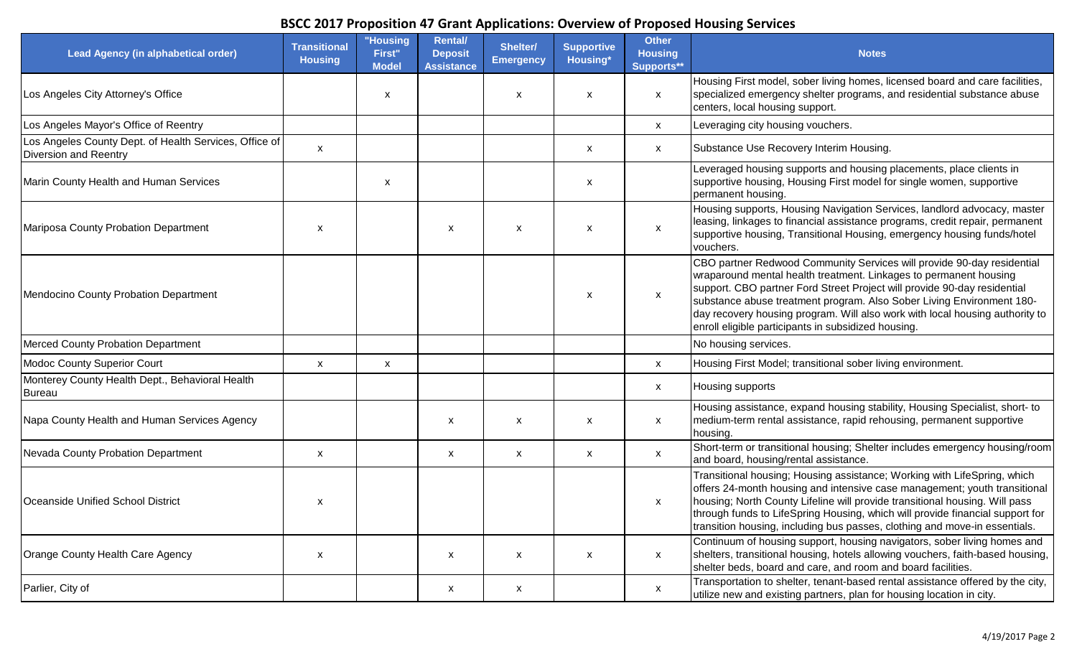| <b>Lead Agency (in alphabetical order)</b>                                             | <b>Transitional</b><br><b>Housing</b> | "Housing<br>First"<br><b>Model</b> | <b>Rental/</b><br><b>Deposit</b><br><b>Assistance</b> | Shelter/<br><b>Emergency</b> | <b>Supportive</b><br>Housing* | <b>Other</b><br><b>Housing</b><br>Supports** | <b>Notes</b>                                                                                                                                                                                                                                                                                                                                                                                                                            |
|----------------------------------------------------------------------------------------|---------------------------------------|------------------------------------|-------------------------------------------------------|------------------------------|-------------------------------|----------------------------------------------|-----------------------------------------------------------------------------------------------------------------------------------------------------------------------------------------------------------------------------------------------------------------------------------------------------------------------------------------------------------------------------------------------------------------------------------------|
| Los Angeles City Attorney's Office                                                     |                                       | X                                  |                                                       | x                            | $\boldsymbol{\mathsf{x}}$     | $\mathsf{x}$                                 | Housing First model, sober living homes, licensed board and care facilities,<br>specialized emergency shelter programs, and residential substance abuse<br>centers, local housing support.                                                                                                                                                                                                                                              |
| Los Angeles Mayor's Office of Reentry                                                  |                                       |                                    |                                                       |                              |                               | $\mathsf{x}$                                 | Leveraging city housing vouchers.                                                                                                                                                                                                                                                                                                                                                                                                       |
| Los Angeles County Dept. of Health Services, Office of<br><b>Diversion and Reentry</b> | $\mathsf{x}$                          |                                    |                                                       |                              | $\boldsymbol{\mathsf{x}}$     | $\mathsf{x}$                                 | Substance Use Recovery Interim Housing.                                                                                                                                                                                                                                                                                                                                                                                                 |
| Marin County Health and Human Services                                                 |                                       | X                                  |                                                       |                              | X                             |                                              | Leveraged housing supports and housing placements, place clients in<br>supportive housing, Housing First model for single women, supportive<br>permanent housing.                                                                                                                                                                                                                                                                       |
| Mariposa County Probation Department                                                   | $\boldsymbol{\mathsf{x}}$             |                                    | $\boldsymbol{\mathsf{x}}$                             | X                            | $\boldsymbol{\mathsf{x}}$     | $\boldsymbol{\mathsf{x}}$                    | Housing supports, Housing Navigation Services, landlord advocacy, master<br>leasing, linkages to financial assistance programs, credit repair, permanent<br>supportive housing, Transitional Housing, emergency housing funds/hotel<br>vouchers.                                                                                                                                                                                        |
| Mendocino County Probation Department                                                  |                                       |                                    |                                                       |                              | $\boldsymbol{\mathsf{x}}$     | $\boldsymbol{\mathsf{x}}$                    | CBO partner Redwood Community Services will provide 90-day residential<br>wraparound mental health treatment. Linkages to permanent housing<br>support. CBO partner Ford Street Project will provide 90-day residential<br>substance abuse treatment program. Also Sober Living Environment 180-<br>day recovery housing program. Will also work with local housing authority to<br>enroll eligible participants in subsidized housing. |
| <b>Merced County Probation Department</b>                                              |                                       |                                    |                                                       |                              |                               |                                              | No housing services.                                                                                                                                                                                                                                                                                                                                                                                                                    |
| Modoc County Superior Court                                                            | $\boldsymbol{\mathsf{x}}$             | X                                  |                                                       |                              |                               | $\mathsf{x}$                                 | Housing First Model; transitional sober living environment.                                                                                                                                                                                                                                                                                                                                                                             |
| Monterey County Health Dept., Behavioral Health<br>Bureau                              |                                       |                                    |                                                       |                              |                               | X                                            | Housing supports                                                                                                                                                                                                                                                                                                                                                                                                                        |
| Napa County Health and Human Services Agency                                           |                                       |                                    | $\boldsymbol{\mathsf{x}}$                             | x                            | $\boldsymbol{\mathsf{x}}$     | X                                            | Housing assistance, expand housing stability, Housing Specialist, short-to<br>medium-term rental assistance, rapid rehousing, permanent supportive<br>housing.                                                                                                                                                                                                                                                                          |
| Nevada County Probation Department                                                     | $\boldsymbol{\mathsf{x}}$             |                                    | X                                                     | $\boldsymbol{\mathsf{x}}$    | X                             | X                                            | Short-term or transitional housing; Shelter includes emergency housing/room<br>and board, housing/rental assistance.                                                                                                                                                                                                                                                                                                                    |
| Oceanside Unified School District                                                      | $\boldsymbol{\mathsf{x}}$             |                                    |                                                       |                              |                               | $\boldsymbol{\mathsf{x}}$                    | Transitional housing; Housing assistance; Working with LifeSpring, which<br>offers 24-month housing and intensive case management; youth transitional<br>housing; North County Lifeline will provide transitional housing. Will pass<br>through funds to LifeSpring Housing, which will provide financial support for<br>transition housing, including bus passes, clothing and move-in essentials.                                     |
| Orange County Health Care Agency                                                       | $\boldsymbol{\mathsf{x}}$             |                                    | $\boldsymbol{\mathsf{x}}$                             | X                            | $\boldsymbol{\mathsf{x}}$     | $\mathsf{x}$                                 | Continuum of housing support, housing navigators, sober living homes and<br>shelters, transitional housing, hotels allowing vouchers, faith-based housing,<br>shelter beds, board and care, and room and board facilities.                                                                                                                                                                                                              |
| Parlier, City of                                                                       |                                       |                                    | $\boldsymbol{\mathsf{x}}$                             | X                            |                               | $\mathsf{x}$                                 | Transportation to shelter, tenant-based rental assistance offered by the city,<br>utilize new and existing partners, plan for housing location in city.                                                                                                                                                                                                                                                                                 |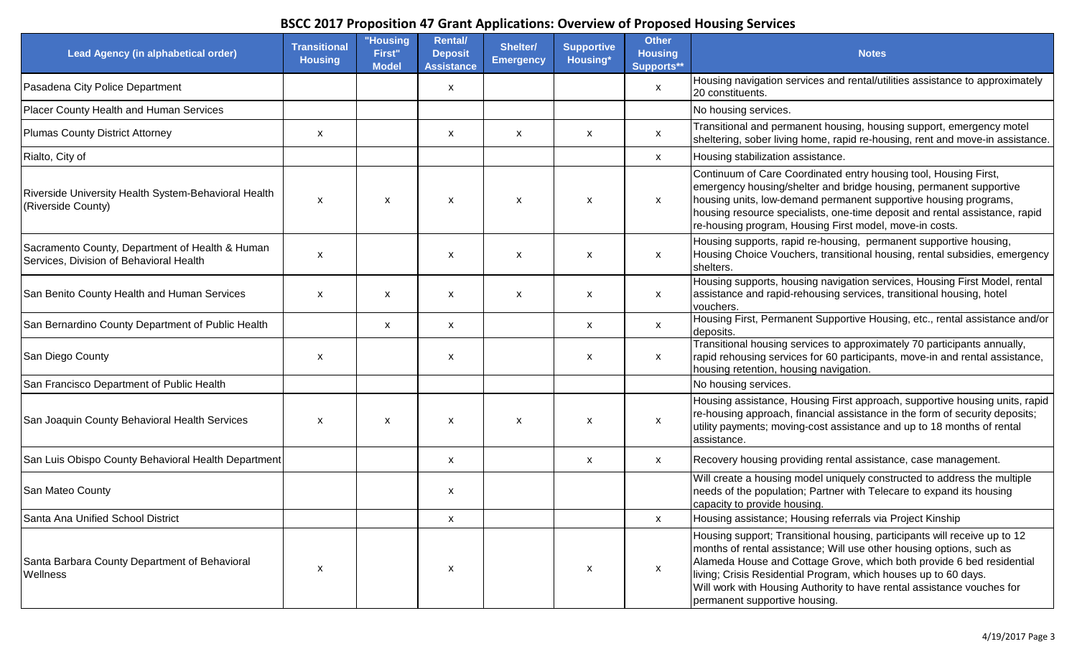| Lead Agency (in alphabetical order)                                                        | <b>Transitional</b><br><b>Housing</b> | "Housing<br>First"<br>Model | <b>Rental/</b><br><b>Deposit</b><br><b>Assistance</b> | Shelter/<br><b>Emergency</b> | <b>Supportive</b><br>Housing* | <b>Other</b><br><b>Housing</b><br>Supports** | <b>Notes</b>                                                                                                                                                                                                                                                                                                                                                                                             |
|--------------------------------------------------------------------------------------------|---------------------------------------|-----------------------------|-------------------------------------------------------|------------------------------|-------------------------------|----------------------------------------------|----------------------------------------------------------------------------------------------------------------------------------------------------------------------------------------------------------------------------------------------------------------------------------------------------------------------------------------------------------------------------------------------------------|
| Pasadena City Police Department                                                            |                                       |                             | X                                                     |                              |                               | $\boldsymbol{\mathsf{x}}$                    | Housing navigation services and rental/utilities assistance to approximately<br>20 constituents.                                                                                                                                                                                                                                                                                                         |
| Placer County Health and Human Services                                                    |                                       |                             |                                                       |                              |                               |                                              | No housing services.                                                                                                                                                                                                                                                                                                                                                                                     |
| Plumas County District Attorney                                                            | $\boldsymbol{\mathsf{x}}$             |                             | $\boldsymbol{\mathsf{X}}$                             | X                            | X                             | $\mathsf{x}$                                 | Transitional and permanent housing, housing support, emergency motel<br>sheltering, sober living home, rapid re-housing, rent and move-in assistance.                                                                                                                                                                                                                                                    |
| Rialto, City of                                                                            |                                       |                             |                                                       |                              |                               | $\mathsf{x}$                                 | Housing stabilization assistance.                                                                                                                                                                                                                                                                                                                                                                        |
| Riverside University Health System-Behavioral Health<br>(Riverside County)                 | $\boldsymbol{\mathsf{x}}$             | X                           | $\boldsymbol{\mathsf{x}}$                             | X                            | $\boldsymbol{\mathsf{x}}$     | $\boldsymbol{\mathsf{x}}$                    | Continuum of Care Coordinated entry housing tool, Housing First,<br>emergency housing/shelter and bridge housing, permanent supportive<br>housing units, low-demand permanent supportive housing programs,<br>housing resource specialists, one-time deposit and rental assistance, rapid<br>re-housing program, Housing First model, move-in costs.                                                     |
| Sacramento County, Department of Health & Human<br>Services, Division of Behavioral Health | $\boldsymbol{\mathsf{x}}$             |                             | X                                                     | X                            | $\boldsymbol{\mathsf{x}}$     | $\boldsymbol{\mathsf{x}}$                    | Housing supports, rapid re-housing, permanent supportive housing,<br>Housing Choice Vouchers, transitional housing, rental subsidies, emergency<br>shelters.                                                                                                                                                                                                                                             |
| San Benito County Health and Human Services                                                | $\boldsymbol{\mathsf{x}}$             | X                           | $\boldsymbol{\mathsf{x}}$                             | x                            | $\boldsymbol{\mathsf{x}}$     | $\mathsf{x}$                                 | Housing supports, housing navigation services, Housing First Model, rental<br>assistance and rapid-rehousing services, transitional housing, hotel<br>vouchers.                                                                                                                                                                                                                                          |
| San Bernardino County Department of Public Health                                          |                                       | X                           | X                                                     |                              | X                             | $\mathsf{x}$                                 | Housing First, Permanent Supportive Housing, etc., rental assistance and/or<br>deposits.                                                                                                                                                                                                                                                                                                                 |
| San Diego County                                                                           | X                                     |                             | X                                                     |                              | X                             | X                                            | Transitional housing services to approximately 70 participants annually,<br>rapid rehousing services for 60 participants, move-in and rental assistance,<br>housing retention, housing navigation.                                                                                                                                                                                                       |
| San Francisco Department of Public Health                                                  |                                       |                             |                                                       |                              |                               |                                              | No housing services.                                                                                                                                                                                                                                                                                                                                                                                     |
| San Joaquin County Behavioral Health Services                                              | $\boldsymbol{\mathsf{x}}$             | X                           | X                                                     | X                            | X                             | X                                            | Housing assistance, Housing First approach, supportive housing units, rapid<br>re-housing approach, financial assistance in the form of security deposits;<br>utility payments; moving-cost assistance and up to 18 months of rental<br>assistance.                                                                                                                                                      |
| San Luis Obispo County Behavioral Health Department                                        |                                       |                             | $\boldsymbol{\mathsf{x}}$                             |                              | X                             | X                                            | Recovery housing providing rental assistance, case management.                                                                                                                                                                                                                                                                                                                                           |
| San Mateo County                                                                           |                                       |                             | X                                                     |                              |                               |                                              | Will create a housing model uniquely constructed to address the multiple<br>needs of the population; Partner with Telecare to expand its housing<br>capacity to provide housing.                                                                                                                                                                                                                         |
| Santa Ana Unified School District                                                          |                                       |                             | $\pmb{\times}$                                        |                              |                               | X                                            | Housing assistance; Housing referrals via Project Kinship                                                                                                                                                                                                                                                                                                                                                |
| Santa Barbara County Department of Behavioral<br>Wellness                                  | X                                     |                             | X                                                     |                              | $\boldsymbol{\mathsf{x}}$     | X                                            | Housing support; Transitional housing, participants will receive up to 12<br>months of rental assistance; Will use other housing options, such as<br>Alameda House and Cottage Grove, which both provide 6 bed residential<br>living; Crisis Residential Program, which houses up to 60 days.<br>Will work with Housing Authority to have rental assistance vouches for<br>permanent supportive housing. |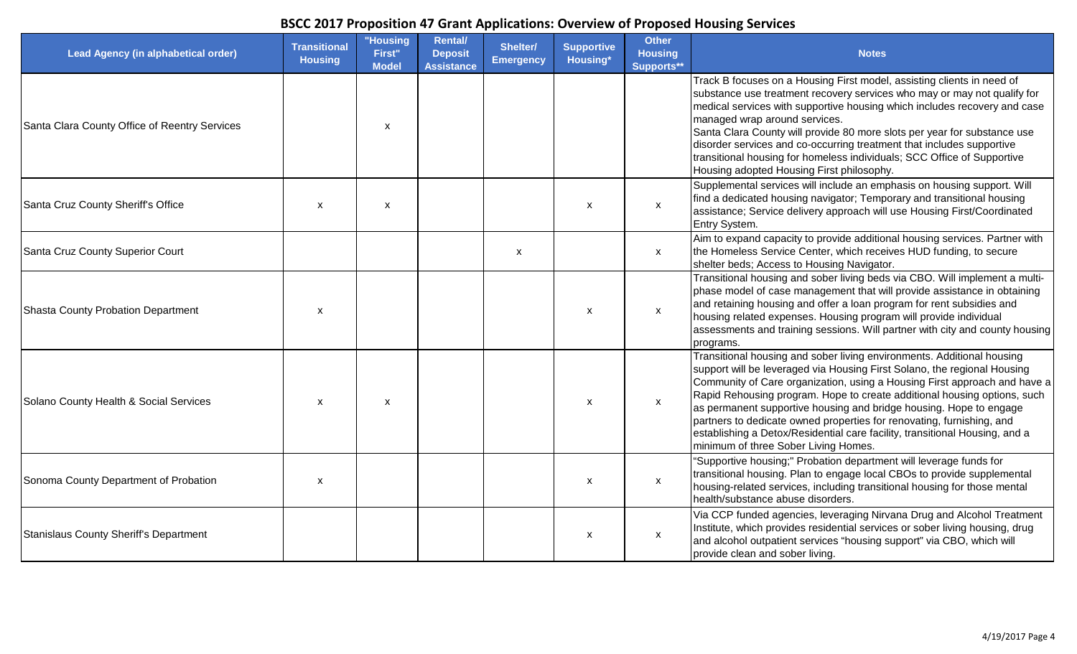| Lead Agency (in alphabetical order)           | <b>Transitional</b><br><b>Housing</b> | "Housing<br>First"<br><b>Model</b> | <b>Rental/</b><br><b>Deposit</b><br><b>Assistance</b> | Shelter/<br><b>Emergency</b> | <b>Supportive</b><br>Housing* | <b>Other</b><br><b>Housing</b><br>Supports** | <b>Notes</b>                                                                                                                                                                                                                                                                                                                                                                                                                                                                                                                                                                      |
|-----------------------------------------------|---------------------------------------|------------------------------------|-------------------------------------------------------|------------------------------|-------------------------------|----------------------------------------------|-----------------------------------------------------------------------------------------------------------------------------------------------------------------------------------------------------------------------------------------------------------------------------------------------------------------------------------------------------------------------------------------------------------------------------------------------------------------------------------------------------------------------------------------------------------------------------------|
| Santa Clara County Office of Reentry Services |                                       | $\boldsymbol{\mathsf{x}}$          |                                                       |                              |                               |                                              | Track B focuses on a Housing First model, assisting clients in need of<br>substance use treatment recovery services who may or may not qualify for<br>medical services with supportive housing which includes recovery and case<br>managed wrap around services.<br>Santa Clara County will provide 80 more slots per year for substance use<br>disorder services and co-occurring treatment that includes supportive<br>transitional housing for homeless individuals; SCC Office of Supportive<br>Housing adopted Housing First philosophy.                                     |
| Santa Cruz County Sheriff's Office            | $\boldsymbol{\mathsf{x}}$             | X                                  |                                                       |                              | $\boldsymbol{\mathsf{x}}$     | $\mathsf{x}$                                 | Supplemental services will include an emphasis on housing support. Will<br>find a dedicated housing navigator; Temporary and transitional housing<br>assistance; Service delivery approach will use Housing First/Coordinated<br>Entry System.                                                                                                                                                                                                                                                                                                                                    |
| Santa Cruz County Superior Court              |                                       |                                    |                                                       | X                            |                               | $\mathsf{x}$                                 | Aim to expand capacity to provide additional housing services. Partner with<br>the Homeless Service Center, which receives HUD funding, to secure<br>shelter beds; Access to Housing Navigator.                                                                                                                                                                                                                                                                                                                                                                                   |
| Shasta County Probation Department            | $\boldsymbol{\mathsf{x}}$             |                                    |                                                       |                              | $\boldsymbol{\mathsf{x}}$     | $\mathsf{x}$                                 | Transitional housing and sober living beds via CBO. Will implement a multi-<br>phase model of case management that will provide assistance in obtaining<br>and retaining housing and offer a loan program for rent subsidies and<br>housing related expenses. Housing program will provide individual<br>assessments and training sessions. Will partner with city and county housing<br>programs.                                                                                                                                                                                |
| Solano County Health & Social Services        | $\boldsymbol{\mathsf{x}}$             | X                                  |                                                       |                              | $\mathsf{x}$                  | $\mathsf{x}$                                 | Transitional housing and sober living environments. Additional housing<br>support will be leveraged via Housing First Solano, the regional Housing<br>Community of Care organization, using a Housing First approach and have a<br>Rapid Rehousing program. Hope to create additional housing options, such<br>as permanent supportive housing and bridge housing. Hope to engage<br>partners to dedicate owned properties for renovating, furnishing, and<br>establishing a Detox/Residential care facility, transitional Housing, and a<br>minimum of three Sober Living Homes. |
| Sonoma County Department of Probation         | $\boldsymbol{\mathsf{x}}$             |                                    |                                                       |                              | $\boldsymbol{\mathsf{x}}$     | $\boldsymbol{\mathsf{x}}$                    | "Supportive housing;" Probation department will leverage funds for<br>transitional housing. Plan to engage local CBOs to provide supplemental<br>housing-related services, including transitional housing for those mental<br>health/substance abuse disorders.                                                                                                                                                                                                                                                                                                                   |
| Stanislaus County Sheriff's Department        |                                       |                                    |                                                       |                              | $\pmb{\mathsf{X}}$            | $\boldsymbol{\mathsf{x}}$                    | Via CCP funded agencies, leveraging Nirvana Drug and Alcohol Treatment<br>Institute, which provides residential services or sober living housing, drug<br>and alcohol outpatient services "housing support" via CBO, which will<br>provide clean and sober living.                                                                                                                                                                                                                                                                                                                |